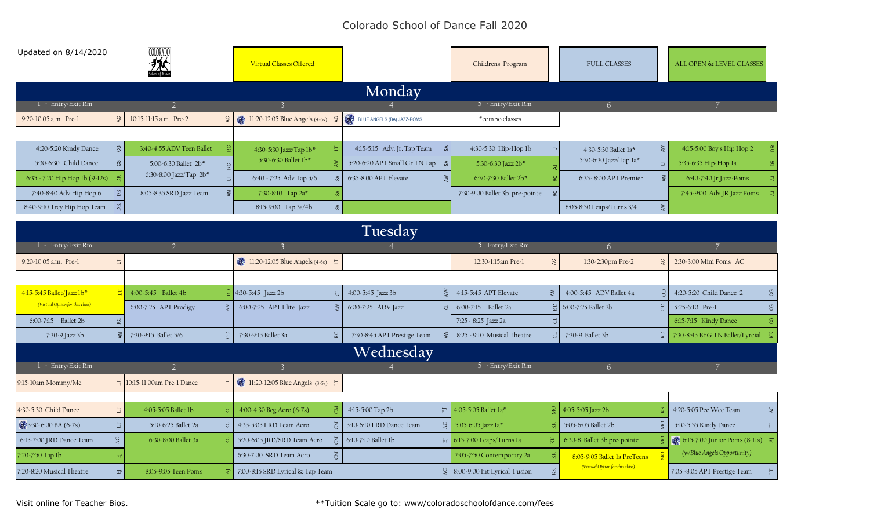## Colorado School of Dance Fall 2020

| Updated on 8/14/2020                       | COLORADO<br>$\frac{1}{2}$                   | <b>Virtual Classes Offered</b>                                        |                                     | Childrens' Program                        | <b>FULL CLASSES</b>                 | ALL OPEN & LEVEL CLASSES        |
|--------------------------------------------|---------------------------------------------|-----------------------------------------------------------------------|-------------------------------------|-------------------------------------------|-------------------------------------|---------------------------------|
|                                            |                                             |                                                                       | Monday                              |                                           |                                     |                                 |
| $1 -$ Entry/Exit Rm                        |                                             |                                                                       |                                     | $5$ - Entry/Exit Rm                       | 6                                   |                                 |
| $\frac{1}{2}$<br>9:20-10:05 a.m. Pre-1     | 10:15-11:15 a.m. Pre-2                      | $Q$ 3 11:20-12:05 Blue Angels (4-6s) $Q$ 3 BLUE ANGELS (BA) JAZZ-POMS |                                     | *combo classes                            |                                     |                                 |
|                                            |                                             |                                                                       |                                     |                                           |                                     |                                 |
| 4:20-5:20 Kindy Dance<br>ප                 | 3:40-4:55 ADV Teen Ballet                   | 4:30-5:30 Jazz/Tap 1b*                                                | 4:15-5:15 Adv. Jr. Tap Team<br>శ    | 4:30-5:30 Hip-Hop lb                      | $\gtrless$<br>4:30-5:30 Ballet 1a*  | 4:15-5:00 Boy's Hip Hop 2       |
| 5:30-6:30 Child Dance<br>CG                | 5:00-6:30 Ballet 2b*                        | 5:30-6:30 Ballet 1b*                                                  | 5:20-6:20 APT Small Gr TN Tap<br>్య | 5:30-6:30 Jazz 2b*                        | 5:30-6:30 Jazz/Tap la*<br>与         | 5:35-6:35 Hip-Hop la            |
| $6:35 < 7:20$ Hip Hop lb $(9-12s)$         | 6:30-8:00 Jazz/Tap 2b*                      | 6:40 - 7:25 Adv Tap 5/6                                               | 6:35-8:00 APT Elevate               | 6:30-7:30 Ballet 2b*                      | 6:35-8:00 APT Premier               | 6:40-7:40 [r Jazz-Poms]         |
| 7:40-8:40 Adv Hip Hop 6                    | 8:05-8:35 SRD Jazz Team<br>$\geq$           | 7:30-8:10 Tap 2a*                                                     |                                     | 7:30-9:00 Ballet 3b pre-pointe            |                                     | 7:45-9:00 Adv.JR Jazz Poms      |
| 8:40-9:10 Trey Hip Hop Team                |                                             | 8:15-9:00 Tap 3a/4b<br>న్                                             |                                     |                                           | 8:05-8:50 Leaps/Turns 3/4           |                                 |
|                                            |                                             |                                                                       | Tuesday                             |                                           |                                     |                                 |
| - Entry/Exit Rm                            | $\mathcal{D}$                               |                                                                       |                                     | 5 Entry/Exit Rm                           | 6                                   |                                 |
| 9:20-10:05 a.m. Pre-1<br>$\overline{\Box}$ |                                             | 11:20-12:05 Blue Angels (4-6s) 5                                      |                                     | 12:30-1:15am Pre-1<br><b>AC</b>           | 1:30-2:30pm Pre-2<br>$\overline{a}$ | 2:30-3:00 Mini Poms AC          |
|                                            |                                             |                                                                       |                                     |                                           |                                     |                                 |
| 4:15-5:45 Ballet/Jazz 1b*                  | 4:00-5:45 Ballet 4b                         | $\frac{1}{2}$ 4:30-5:45 Jazz 2b                                       | 4:00-5:45 Jazz 3b                   | 4:15-5:45 APT Elevate<br>$\sum_{i=1}^{n}$ | 4:00-5:45 ADV Ballet 4a             | 4:20-5:20 Child Dance 2<br>ల్గ  |
| (Virtual Option for this class)            | 6:00-7:25 APT Prodigy                       | 6:00-7:25 APT Elite Jazz                                              | 6:00-7:25 ADV Jazz                  | 6:00-7:15 Ballet 2a                       | 6:00-7:25 Ballet 3b                 | 5:25-6:10 Pre-1                 |
| 6:00-7:15 Ballet 2b                        |                                             |                                                                       |                                     | 7:25 - 8:25 Jazz 2a                       |                                     | 6:15-7:15 Kindy Dance           |
| 7:30-9 Jazz 3b                             | 7:30-9:15 Ballet 5/6                        | 7:30-9:15 Ballet 3a                                                   | 7:30-8:45 APT Prestige Team         | 8:25 - 9:10 Musical Theatre               | 7:30-9 Ballet 3b<br>$\Omega$        | 7:30-8:45 BEG TN Ballet/Lyrcial |
|                                            |                                             |                                                                       | Wednesday                           |                                           |                                     |                                 |
| 1 - Entry/Exit Rm                          | $\overline{2}$                              | $\overline{3}$                                                        |                                     | 5 - Entry/Exit Rm                         | 6                                   | $\overline{7}$                  |
| 9:15-10am Mommy/Me                         | $\vert$ 10:15-11:00am Pre-1 Dance<br>$\Box$ | 3-5s) H1:20-12:05 Blue Angels (3-5s) 5                                |                                     |                                           |                                     |                                 |
|                                            |                                             |                                                                       |                                     |                                           |                                     |                                 |
|                                            |                                             |                                                                       |                                     |                                           |                                     |                                 |
| 4:30-5:30 Child Dance<br>$\Box$            | 4:05-5:05 Ballet 1b                         | 4:00-4:30 Beg Acro (6-7s)                                             | 4:15-5:00 Tap 2b                    | $\Box$ 4:05-5:05 Ballet 1a*               | $\frac{6}{2}$ 4:05-5:05 Jazz 2b     | 4:20-5:05 Pee Wee Team          |
| 85:30-6:00 BA (6-7s)<br>$\overline{\Box}$  | 5:10-6:25 Ballet 2a                         | 4:35-5:05 LRD Team Acro                                               | 5:10-6:10 LRD Dance Team            | 5:05-6:05 Jazz la*                        | 5:05-6:05 Ballet 2b                 | 5:10-5:55 Kindy Dance           |
| AC.<br>6:15-7:00 JRD Dance Team            | 6:30-8:00 Ballet 3a                         | 5:20-6:05 JRD/SRD Team Acro                                           | 6:10-7:10 Ballet 1b                 | $\Box$ 6:15-7:00 Leaps/Turns la<br>Ř      | 6:30-8 Ballet 3b pre-pointe         | 6:15-7:00 Junior Poms (8-11s)   |
| 7:20-7:50 Tap 1b                           |                                             | 6:30-7:00 SRD Team Acro                                               |                                     | 7:05-7:50 Contemporary 2a                 | 8:05-9:05 Ballet 1a PreTeens        | (w/Blue Angels Opportunity)     |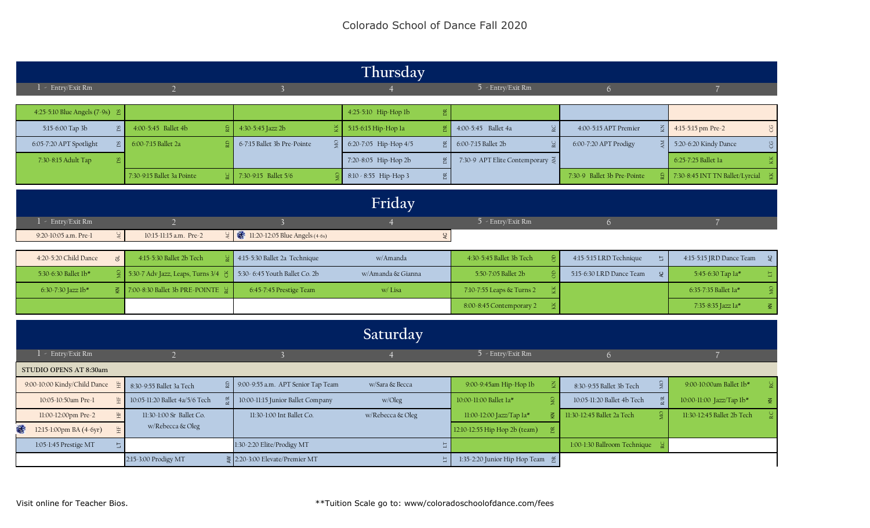|                                             |                                   |                                                | Thursday              |                                             |                                         |                                 |
|---------------------------------------------|-----------------------------------|------------------------------------------------|-----------------------|---------------------------------------------|-----------------------------------------|---------------------------------|
| 1 - Entry/Exit Rm                           | $\overline{2}$                    | $\mathbf{R}$                                   |                       | 5 - Entry/Exit Rm                           | 6 <sup>1</sup>                          |                                 |
| 4:25-5:10 Blue Angels (7-9s) &              |                                   |                                                | 4:25-5:10 Hip-Hop lb  |                                             |                                         |                                 |
|                                             |                                   |                                                |                       |                                             |                                         |                                 |
| 5:15-6:00 Tap 3b                            | 4:00-5:45 Ballet 4b               | 4:30-5:45 Jazz 2b                              | 5:15-6:15 Hip-Hop la  | 4:00-5:45 Ballet 4a<br>ŠC                   | 4:00-5:15 APT Premier<br>$\overline{5}$ | 4:15-5:15 pm Pre-2              |
| 6:05-7:20 APT Spotlight                     | 6:00-7:15 Ballet 2a               | 6-7:15 Ballet 3b Pre-Pointe                    | 6:20-7:05 Hip-Hop 4/5 | 6:00-7:15 Ballet 2b                         | 6:00-7:20 APT Prodigy                   | 5:20-6:20 Kindy Dance           |
| 7:30-8:15 Adult Tap                         |                                   |                                                | 7:20-8:05 Hip-Hop 2b  | 7:30-9 APT Elite Contemporary $\frac{3}{2}$ |                                         | 6:25-7:25 Ballet 1a             |
|                                             | 7:30-9:15 Ballet 3a Pointe        | 7:30-9:15 Ballet 5/6                           | 8:10 - 8:55 Hip-Hop 3 |                                             | 7:30-9 Ballet 3b Pre-Pointe             | 7:30-8:45 INT TN Ballet/Lyrcial |
|                                             |                                   |                                                | Friday                |                                             |                                         |                                 |
|                                             |                                   |                                                |                       |                                             |                                         |                                 |
| 1 - Entry/Exit Rm                           | $\overline{2}$                    |                                                | $\vert 4 \vert$       | 5 - Entry/Exit Rm                           | 6 <sup>1</sup>                          | $\overline{7}$                  |
| AC<br>9:20-10:05 a.m. Pre-1                 | 10:15-11:15 a.m. Pre-2            | 2 $\frac{1}{2}$ 11:20-12:05 Blue Angels (4-6s) |                       | <b>SP</b>                                   |                                         |                                 |
| 4:20-5:20 Child Dance<br>ਰ                  | 4:15-5:30 Ballet 2b Tech          | 4:15-5:30 Ballet 2a Technique                  | w/Amanda              | 4:30-5:45 Ballet 3b Tech                    | 4:15-5:15 LRD Technique<br>E.           | 4:15-5:15 JRD Dance Team        |
| 5:30-6:30 Ballet 1b*                        | 5:30-7 Adv Jazz, Leaps, Turns 3/4 | 5:30-6:45 Youth Ballet Co. 2b                  | w/Amanda & Gianna     | 5:50-7:05 Ballet 2b                         | 5:15-6:30 LRD Dance Team<br>$\epsilon$  | 5:45-6:30 Tap la*               |
| 6:30-7:30 Jazz lb*                          | 7:00-8:30 Ballet 3b PRE-POINTE 2  | 6:45-7:45 Prestige Team                        | w/Lisa                | 7:10-7:55 Leaps & Turns 2                   |                                         | 6:35-7:35 Ballet 1a*            |
|                                             |                                   |                                                |                       | 8:00-8:45 Contemporary 2                    |                                         | 7:35-8:35 Jazz la*              |
|                                             |                                   |                                                |                       |                                             |                                         |                                 |
|                                             |                                   |                                                | Saturday              |                                             |                                         |                                 |
| $1 -$ Entry/Exit Rm                         | $\overline{2}$                    | $\overline{3}$                                 | $\overline{4}$        | 5 - Entry/Exit Rm                           | 6 <sup>1</sup>                          | $\overline{7}$                  |
| STUDIO OPENS AT 8:30am                      |                                   |                                                |                       |                                             |                                         |                                 |
| 9:00-10:00 Kindy/Child Dance                | 8:30-9:55 Ballet 3a Tech          | 9:00-9:55 a.m. APT Senior Tap Team             | w/Sara & Becca        | 9:00-9:45am Hip-Hop lb                      | δŊ,<br>8:30-9:55 Ballet 3b Tech         | 9:00-10:00am Ballet 1b*         |
| 10:05-10:50am Pre-1                         | 10:05-11:20 Ballet 4a/5/6 Tech    | 10:00-11:15 Junior Ballet Company              | w/Oleg                | 10:00-11:00 Ballet 1a*                      | 10:05-11:20 Ballet 4b Tech              | 10:00-11:00 Jazz/Tap lb*        |
| 11:00-12:00pm Pre-2                         | 11:30-1:00 Sr Ballet Co.          | 11:30-1:00 Int Ballet Co.                      | w/Rebecca & Oleg      | 11:00-12:00 Jazz/Tap 1a*<br>₹               | 11:30-12:45 Ballet 2a Tech              | 11:30-12:45 Ballet 2b Tech      |
| 港<br>12:15-1:00pm BA (4-6yr)                | w/Rebecca & Oleg                  |                                                |                       | 12:10-12:55 Hip Hop 2b (team)               |                                         |                                 |
|                                             |                                   |                                                |                       |                                             |                                         |                                 |
| 1:05-1:45 Prestige MT<br>$\vert \Box \vert$ |                                   | 1:30-2:20 Elite/Prodigy MT                     |                       |                                             | 1:00-1:30 Ballroom Technique 2          |                                 |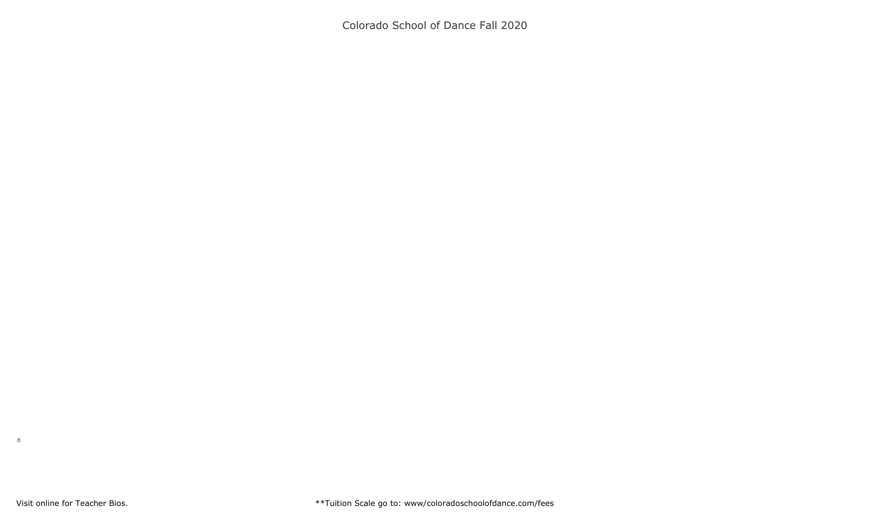Colorado School of Dance Fall 2020

6